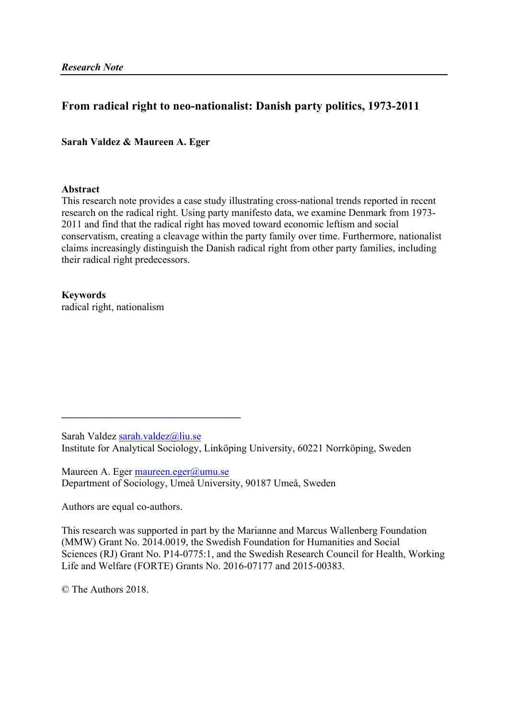# **From radical right to neo-nationalist: Danish party politics, 1973-2011**

# **Sarah Valdez & Maureen A. Eger**

# **Abstract**

This research note provides a case study illustrating cross-national trends reported in recent research on the radical right. Using party manifesto data, we examine Denmark from 1973- 2011 and find that the radical right has moved toward economic leftism and social conservatism, creating a cleavage within the party family over time. Furthermore, nationalist claims increasingly distinguish the Danish radical right from other party families, including their radical right predecessors.

**Keywords** radical right, nationalism

Sarah Valdez sarah.valdez@liu.se Institute for Analytical Sociology, Linköping University, 60221 Norrköping, Sweden

Maureen A. Eger maureen.eger@umu.se Department of Sociology, Umeå University, 90187 Umeå, Sweden

Authors are equal co-authors.

 $\mathcal{L} = \{ \mathcal{L} \}$ 

This research was supported in part by the Marianne and Marcus Wallenberg Foundation (MMW) Grant No. 2014.0019, the Swedish Foundation for Humanities and Social Sciences (RJ) Grant No. P14-0775:1, and the Swedish Research Council for Health, Working Life and Welfare (FORTE) Grants No. 2016-07177 and 2015-00383.

© The Authors 2018.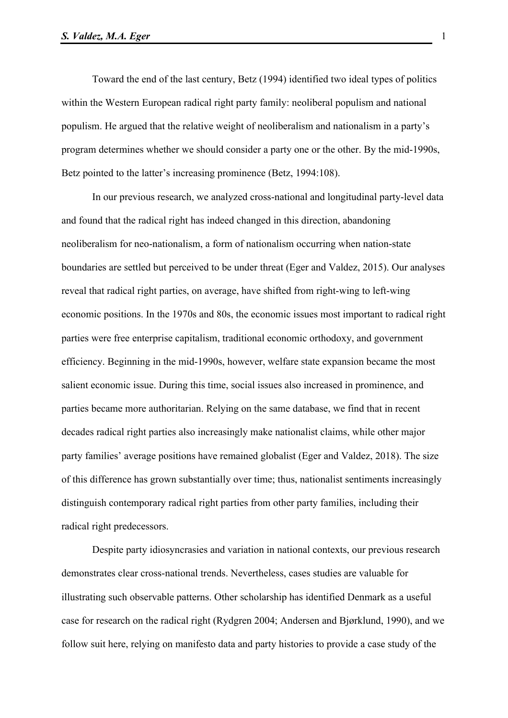Toward the end of the last century, Betz (1994) identified two ideal types of politics within the Western European radical right party family: neoliberal populism and national populism. He argued that the relative weight of neoliberalism and nationalism in a party's program determines whether we should consider a party one or the other. By the mid-1990s, Betz pointed to the latter's increasing prominence (Betz, 1994:108).

In our previous research, we analyzed cross-national and longitudinal party-level data and found that the radical right has indeed changed in this direction, abandoning neoliberalism for neo-nationalism, a form of nationalism occurring when nation-state boundaries are settled but perceived to be under threat (Eger and Valdez, 2015). Our analyses reveal that radical right parties, on average, have shifted from right-wing to left-wing economic positions. In the 1970s and 80s, the economic issues most important to radical right parties were free enterprise capitalism, traditional economic orthodoxy, and government efficiency. Beginning in the mid-1990s, however, welfare state expansion became the most salient economic issue. During this time, social issues also increased in prominence, and parties became more authoritarian. Relying on the same database, we find that in recent decades radical right parties also increasingly make nationalist claims, while other major party families' average positions have remained globalist (Eger and Valdez, 2018). The size of this difference has grown substantially over time; thus, nationalist sentiments increasingly distinguish contemporary radical right parties from other party families, including their radical right predecessors.

Despite party idiosyncrasies and variation in national contexts, our previous research demonstrates clear cross-national trends. Nevertheless, cases studies are valuable for illustrating such observable patterns. Other scholarship has identified Denmark as a useful case for research on the radical right (Rydgren 2004; Andersen and Bjørklund, 1990), and we follow suit here, relying on manifesto data and party histories to provide a case study of the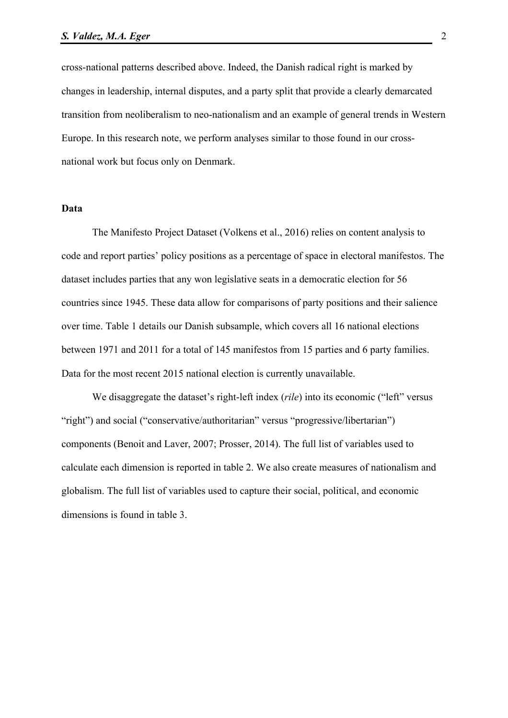cross-national patterns described above. Indeed, the Danish radical right is marked by changes in leadership, internal disputes, and a party split that provide a clearly demarcated transition from neoliberalism to neo-nationalism and an example of general trends in Western Europe. In this research note, we perform analyses similar to those found in our crossnational work but focus only on Denmark.

#### **Data**

The Manifesto Project Dataset (Volkens et al., 2016) relies on content analysis to code and report parties' policy positions as a percentage of space in electoral manifestos. The dataset includes parties that any won legislative seats in a democratic election for 56 countries since 1945. These data allow for comparisons of party positions and their salience over time. Table 1 details our Danish subsample, which covers all 16 national elections between 1971 and 2011 for a total of 145 manifestos from 15 parties and 6 party families. Data for the most recent 2015 national election is currently unavailable.

We disaggregate the dataset's right-left index (*rile*) into its economic ("left" versus "right") and social ("conservative/authoritarian" versus "progressive/libertarian") components (Benoit and Laver, 2007; Prosser, 2014). The full list of variables used to calculate each dimension is reported in table 2. We also create measures of nationalism and globalism. The full list of variables used to capture their social, political, and economic dimensions is found in table 3.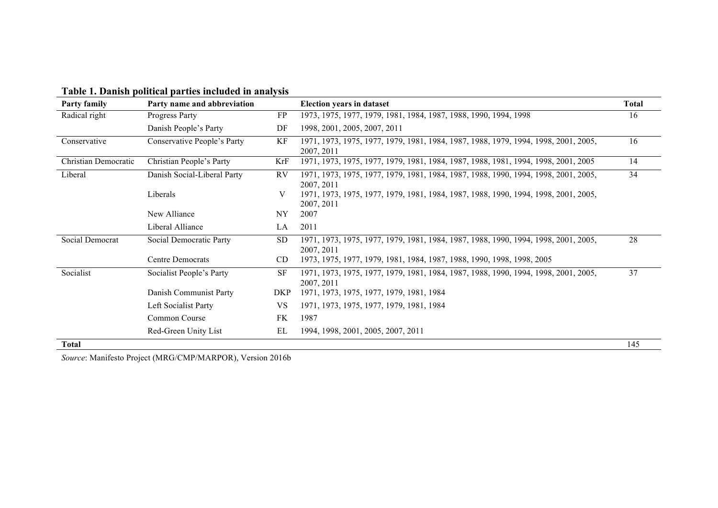| Party family         | Party name and abbreviation |            | <b>Election years in dataset</b>                                                                  | <b>Total</b> |
|----------------------|-----------------------------|------------|---------------------------------------------------------------------------------------------------|--------------|
| Radical right        | Progress Party              | FP         | 1973, 1975, 1977, 1979, 1981, 1984, 1987, 1988, 1990, 1994, 1998                                  | 16           |
|                      | Danish People's Party       | DF         | 1998, 2001, 2005, 2007, 2011                                                                      |              |
| Conservative         | Conservative People's Party | КF         | 1971, 1973, 1975, 1977, 1979, 1981, 1984, 1987, 1988, 1979, 1994, 1998, 2001, 2005,<br>2007, 2011 | 16           |
| Christian Democratic | Christian People's Party    | KrF        | 1971, 1973, 1975, 1977, 1979, 1981, 1984, 1987, 1988, 1981, 1994, 1998, 2001, 2005                | 14           |
| Liberal              | Danish Social-Liberal Party | <b>RV</b>  | 1971, 1973, 1975, 1977, 1979, 1981, 1984, 1987, 1988, 1990, 1994, 1998, 2001, 2005,<br>2007, 2011 | 34           |
|                      | Liberals                    | V          | 1971, 1973, 1975, 1977, 1979, 1981, 1984, 1987, 1988, 1990, 1994, 1998, 2001, 2005,<br>2007, 2011 |              |
|                      | New Alliance                | NY         | 2007                                                                                              |              |
|                      | Liberal Alliance            | LA         | 2011                                                                                              |              |
| Social Democrat      | Social Democratic Party     | <b>SD</b>  | 1971, 1973, 1975, 1977, 1979, 1981, 1984, 1987, 1988, 1990, 1994, 1998, 2001, 2005,<br>2007, 2011 | 28           |
|                      | <b>Centre Democrats</b>     | CD.        | 1973, 1975, 1977, 1979, 1981, 1984, 1987, 1988, 1990, 1998, 1998, 2005                            |              |
| Socialist            | Socialist People's Party    | <b>SF</b>  | 1971, 1973, 1975, 1977, 1979, 1981, 1984, 1987, 1988, 1990, 1994, 1998, 2001, 2005,<br>2007, 2011 | 37           |
|                      | Danish Communist Party      | <b>DKP</b> | 1971, 1973, 1975, 1977, 1979, 1981, 1984                                                          |              |
|                      | Left Socialist Party        | VS         | 1971, 1973, 1975, 1977, 1979, 1981, 1984                                                          |              |
|                      | Common Course               | FK         | 1987                                                                                              |              |
|                      | Red-Green Unity List        | EL         | 1994, 1998, 2001, 2005, 2007, 2011                                                                |              |
| <b>Total</b>         |                             |            |                                                                                                   | 145          |

**Table 1. Danish political parties included in analysis**

*Source*: Manifesto Project (MRG/CMP/MARPOR), Version 2016b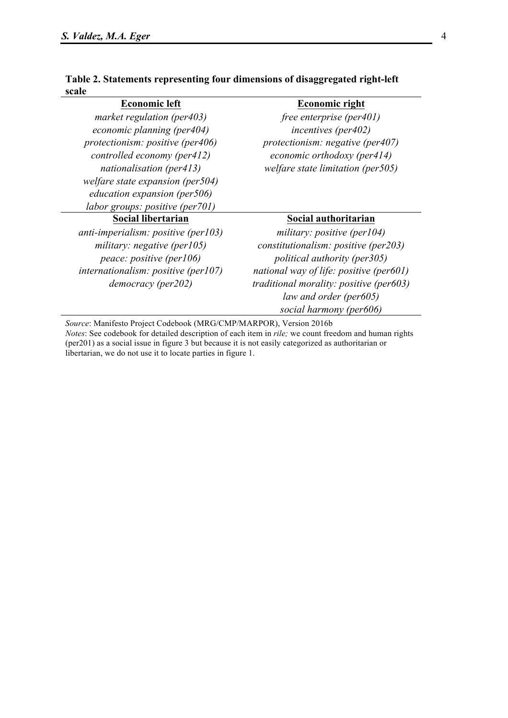| ale                              |                                      |
|----------------------------------|--------------------------------------|
| <b>Economic left</b>             | <b>Economic right</b>                |
| market regulation (per403)       | free enterprise (per $401$ )         |
| economic planning (per404)       | <i>incentives (per402)</i>           |
| protectionism: positive (per406) | protectionism: negative (per $407$ ) |
| controlled economy (per412)      | economic orthodoxy (per414)          |

# **Table 2. Statements representing four dimensions of disaggregated right-left sc**

| welfare state expansion (per504)      |                                  |  |  |
|---------------------------------------|----------------------------------|--|--|
| education expansion (per506)          |                                  |  |  |
| labor groups: positive (per701)       |                                  |  |  |
| Social libertarian                    | Social authoritarian             |  |  |
| $anti-imperialism: positive (per103)$ | military: positive (per $104$ )  |  |  |
| military: negative (per $105$ )       | constitutionalism: positive (per |  |  |
|                                       |                                  |  |  |

*nationalisation (per413) welfare state limitation (per505)*

# **Social authoritarian**

*constitutionalism: positive (per203) peace: positive (per106) political authority (per305) internationalism: positive (per107) national way of life: positive (per601) democracy (per202) traditional morality: positive (per603) law and order (per605) social harmony (per606)*

*Source*: Manifesto Project Codebook (MRG/CMP/MARPOR), Version 2016b *Notes*: See codebook for detailed description of each item in *rile;* we count freedom and human rights (per201) as a social issue in figure 3 but because it is not easily categorized as authoritarian or libertarian, we do not use it to locate parties in figure 1.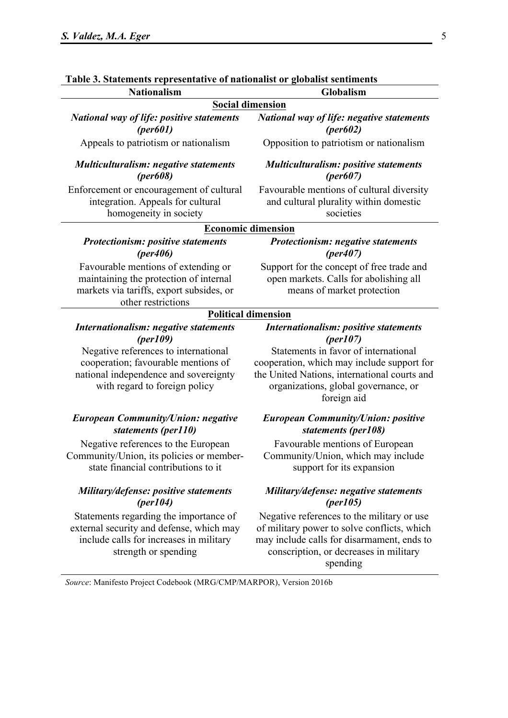| Table 3. Statements representative of nationalist or globalist sentiments                                                                             |                                                                                                                                                                                               |
|-------------------------------------------------------------------------------------------------------------------------------------------------------|-----------------------------------------------------------------------------------------------------------------------------------------------------------------------------------------------|
| <b>Nationalism</b>                                                                                                                                    | Globalism                                                                                                                                                                                     |
|                                                                                                                                                       | <b>Social dimension</b>                                                                                                                                                                       |
| <b>National way of life: positive statements</b><br>per601)                                                                                           | <b>National way of life: negative statements</b><br>$(\text{per}602)$                                                                                                                         |
| Appeals to patriotism or nationalism                                                                                                                  | Opposition to patriotism or nationalism                                                                                                                                                       |
| <b>Multiculturalism: negative statements</b><br>$(per608)$                                                                                            | <b>Multiculturalism: positive statements</b><br>$(\text{per}607)$                                                                                                                             |
| Enforcement or encouragement of cultural<br>integration. Appeals for cultural<br>homogeneity in society                                               | Favourable mentions of cultural diversity<br>and cultural plurality within domestic<br>societies                                                                                              |
|                                                                                                                                                       | Economic dimension                                                                                                                                                                            |
| <b>Protectionism: positive statements</b><br>(per406)                                                                                                 | <b>Protectionism: negative statements</b><br>(per407)                                                                                                                                         |
| Favourable mentions of extending or<br>maintaining the protection of internal<br>markets via tariffs, export subsides, or<br>other restrictions       | Support for the concept of free trade and<br>open markets. Calls for abolishing all<br>means of market protection                                                                             |
|                                                                                                                                                       | <b>Political dimension</b>                                                                                                                                                                    |
| Internationalism: negative statements<br>per109                                                                                                       | Internationalism: positive statements<br>(per107)                                                                                                                                             |
| Negative references to international<br>cooperation; favourable mentions of<br>national independence and sovereignty<br>with regard to foreign policy | Statements in favor of international<br>cooperation, which may include support for<br>the United Nations, international courts and<br>organizations, global governance, or<br>foreign aid     |
| <b>European Community/Union: negative</b><br>statements (per110)                                                                                      | <b>European Community/Union: positive</b><br>statements (per108)                                                                                                                              |
| Negative references to the European<br>Community/Union, its policies or member-<br>state financial contributions to it                                | Favourable mentions of European<br>Community/Union, which may include<br>support for its expansion                                                                                            |
| Military/defense: positive statements<br>(per104)                                                                                                     | Military/defense: negative statements<br>${\rm (per105)}$                                                                                                                                     |
| Statements regarding the importance of<br>external security and defense, which may<br>include calls for increases in military<br>strength or spending | Negative references to the military or use<br>of military power to solve conflicts, which<br>may include calls for disarmament, ends to<br>conscription, or decreases in military<br>spending |
| Source: Manifesto Project Codebook (MRG/CMP/MARPOR), Version 2016b                                                                                    |                                                                                                                                                                                               |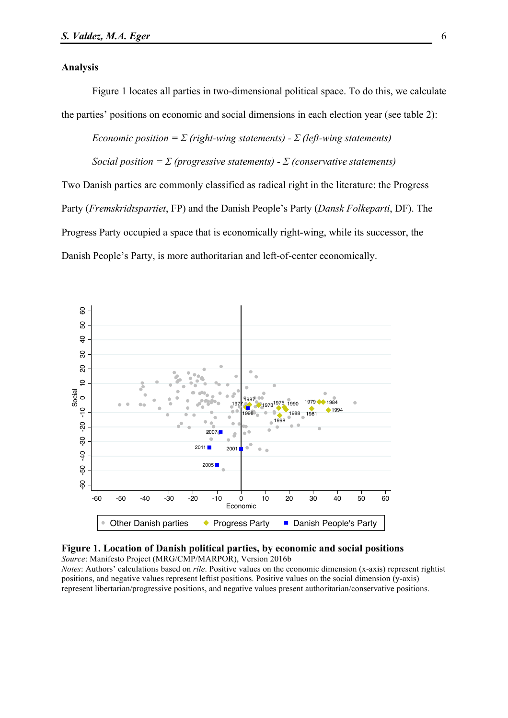#### **Analysis**

Figure 1 locates all parties in two-dimensional political space. To do this, we calculate the parties' positions on economic and social dimensions in each election year (see table 2):

*Economic position =*  $\Sigma$  *(right-wing statements) -*  $\Sigma$  *(left-wing statements)* 

*Social position =*  $\Sigma$  *(progressive statements) -*  $\Sigma$  *(conservative statements)* 

Two Danish parties are commonly classified as radical right in the literature: the Progress Party (*Fremskridtspartiet*, FP) and the Danish People's Party (*Dansk Folkeparti*, DF). The Progress Party occupied a space that is economically right-wing, while its successor, the Danish People's Party, is more authoritarian and left-of-center economically.





*Notes*: Authors' calculations based on *rile*. Positive values on the economic dimension (x-axis) represent rightist positions, and negative values represent leftist positions. Positive values on the social dimension (y-axis) represent libertarian/progressive positions, and negative values present authoritarian/conservative positions.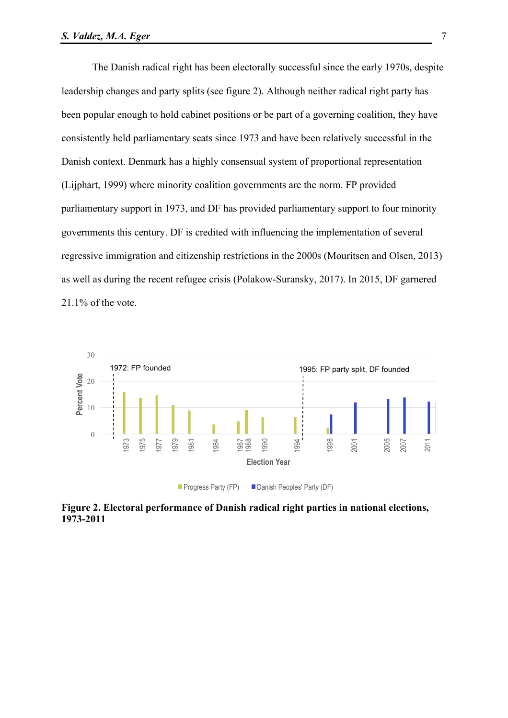The Danish radical right has been electorally successful since the early 1970s, despite leadership changes and party splits (see figure 2). Although neither radical right party has been popular enough to hold cabinet positions or be part of a governing coalition, they have consistently held parliamentary seats since 1973 and have been relatively successful in the Danish context. Denmark has a highly consensual system of proportional representation (Lijphart, 1999) where minority coalition governments are the norm. FP provided parliamentary support in 1973, and DF has provided parliamentary support to four minority governments this century. DF is credited with influencing the implementation of several regressive immigration and citizenship restrictions in the 2000s (Mouritsen and Olsen, 2013) as well as during the recent refugee crisis (Polakow-Suransky, 2017). In 2015, DF garnered 21.1% of the vote.



**Figure 2. Electoral performance of Danish radical right parties in national elections, 1973-2011**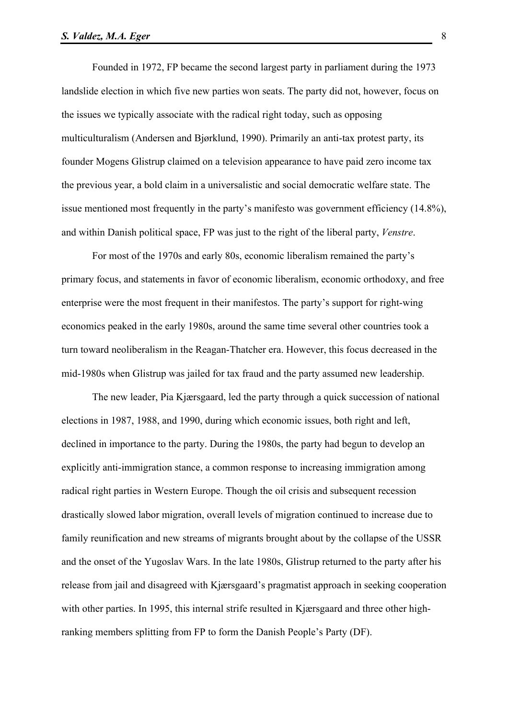Founded in 1972, FP became the second largest party in parliament during the 1973 landslide election in which five new parties won seats. The party did not, however, focus on the issues we typically associate with the radical right today, such as opposing multiculturalism (Andersen and Bjørklund, 1990). Primarily an anti-tax protest party, its founder Mogens Glistrup claimed on a television appearance to have paid zero income tax the previous year, a bold claim in a universalistic and social democratic welfare state. The issue mentioned most frequently in the party's manifesto was government efficiency (14.8%), and within Danish political space, FP was just to the right of the liberal party, *Venstre*.

For most of the 1970s and early 80s, economic liberalism remained the party's primary focus, and statements in favor of economic liberalism, economic orthodoxy, and free enterprise were the most frequent in their manifestos. The party's support for right-wing economics peaked in the early 1980s, around the same time several other countries took a turn toward neoliberalism in the Reagan-Thatcher era. However, this focus decreased in the mid-1980s when Glistrup was jailed for tax fraud and the party assumed new leadership.

The new leader, Pia Kjærsgaard, led the party through a quick succession of national elections in 1987, 1988, and 1990, during which economic issues, both right and left, declined in importance to the party. During the 1980s, the party had begun to develop an explicitly anti-immigration stance, a common response to increasing immigration among radical right parties in Western Europe. Though the oil crisis and subsequent recession drastically slowed labor migration, overall levels of migration continued to increase due to family reunification and new streams of migrants brought about by the collapse of the USSR and the onset of the Yugoslav Wars. In the late 1980s, Glistrup returned to the party after his release from jail and disagreed with Kjærsgaard's pragmatist approach in seeking cooperation with other parties. In 1995, this internal strife resulted in Kjærsgaard and three other highranking members splitting from FP to form the Danish People's Party (DF).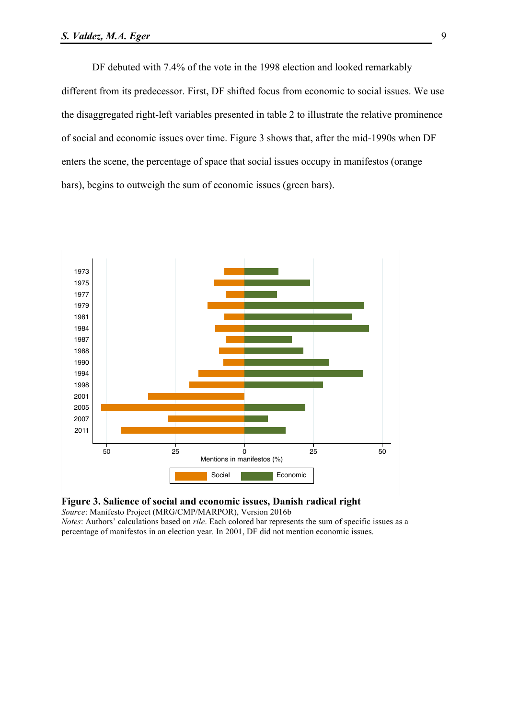DF debuted with 7.4% of the vote in the 1998 election and looked remarkably different from its predecessor. First, DF shifted focus from economic to social issues. We use the disaggregated right-left variables presented in table 2 to illustrate the relative prominence of social and economic issues over time. Figure 3 shows that, after the mid-1990s when DF enters the scene, the percentage of space that social issues occupy in manifestos (orange bars), begins to outweigh the sum of economic issues (green bars).





*Source*: Manifesto Project (MRG/CMP/MARPOR), Version 2016b *Notes*: Authors' calculations based on *rile*. Each colored bar represents the sum of specific issues as a

percentage of manifestos in an election year. In 2001, DF did not mention economic issues.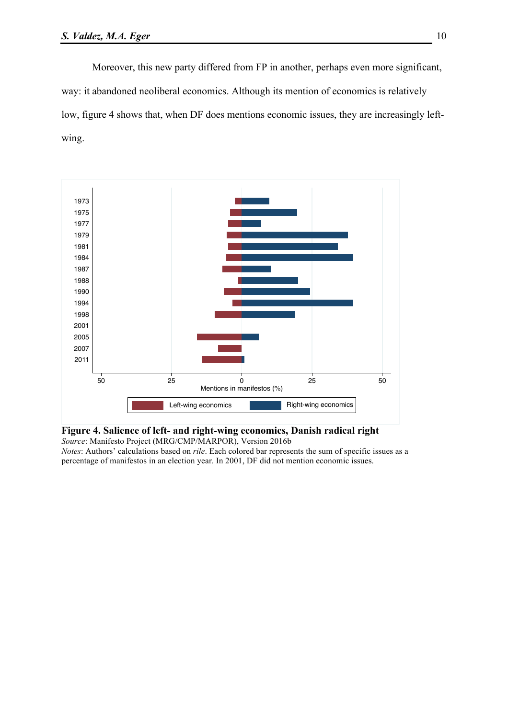Moreover, this new party differed from FP in another, perhaps even more significant, way: it abandoned neoliberal economics. Although its mention of economics is relatively low, figure 4 shows that, when DF does mentions economic issues, they are increasingly leftwing.





*Notes*: Authors' calculations based on *rile*. Each colored bar represents the sum of specific issues as a percentage of manifestos in an election year. In 2001, DF did not mention economic issues.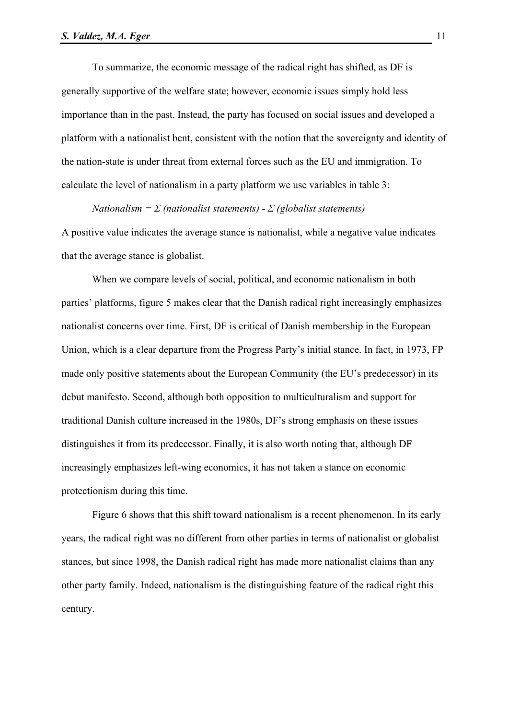To summarize, the economic message of the radical right has shifted, as DF is generally supportive of the welfare state; however, economic issues simply hold less importance than in the past. Instead, the party has focused on social issues and developed a platform with a nationalist bent, consistent with the notion that the sovereignty and identity of the nation-state is under threat from external forces such as the EU and immigration. To calculate the level of nationalism in a party platform we use variables in table 3:

*Nationalism = Σ (nationalist statements) - Σ (globalist statements)*

A positive value indicates the average stance is nationalist, while a negative value indicates that the average stance is globalist.

When we compare levels of social, political, and economic nationalism in both parties' platforms, figure 5 makes clear that the Danish radical right increasingly emphasizes nationalist concerns over time. First, DF is critical of Danish membership in the European Union, which is a clear departure from the Progress Party's initial stance. In fact, in 1973, FP made only positive statements about the European Community (the EU's predecessor) in its debut manifesto. Second, although both opposition to multiculturalism and support for traditional Danish culture increased in the 1980s, DF's strong emphasis on these issues distinguishes it from its predecessor. Finally, it is also worth noting that, although DF increasingly emphasizes left-wing economics, it has not taken a stance on economic protectionism during this time.

Figure 6 shows that this shift toward nationalism is a recent phenomenon. In its early years, the radical right was no different from other parties in terms of nationalist or globalist stances, but since 1998, the Danish radical right has made more nationalist claims than any other party family. Indeed, nationalism is the distinguishing feature of the radical right this century.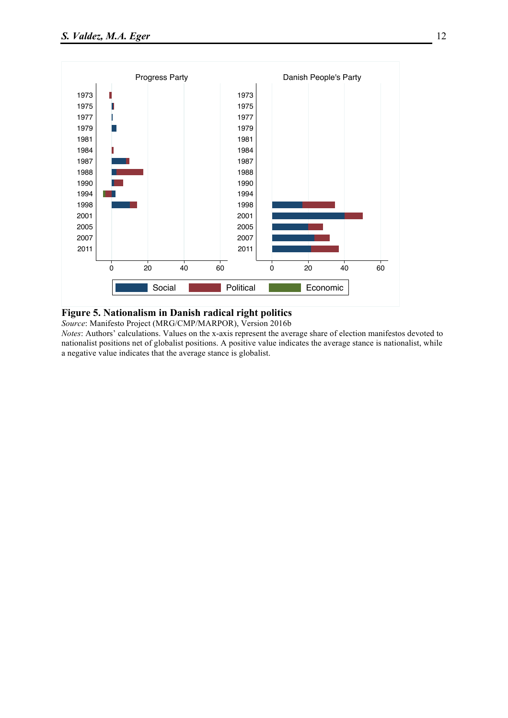

# **Figure 5. Nationalism in Danish radical right politics**

*Source*: Manifesto Project (MRG/CMP/MARPOR), Version 2016b

*Notes*: Authors' calculations. Values on the x-axis represent the average share of election manifestos devoted to nationalist positions net of globalist positions. A positive value indicates the average stance is nationalist, while a negative value indicates that the average stance is globalist.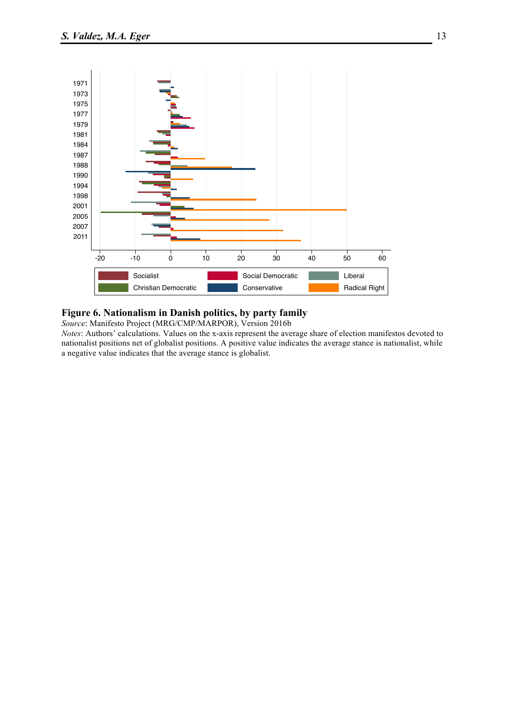

# **Figure 6. Nationalism in Danish politics, by party family**

*Source*: Manifesto Project (MRG/CMP/MARPOR), Version 2016b

*Notes*: Authors' calculations. Values on the x-axis represent the average share of election manifestos devoted to nationalist positions net of globalist positions. A positive value indicates the average stance is nationalist, while a negative value indicates that the average stance is globalist.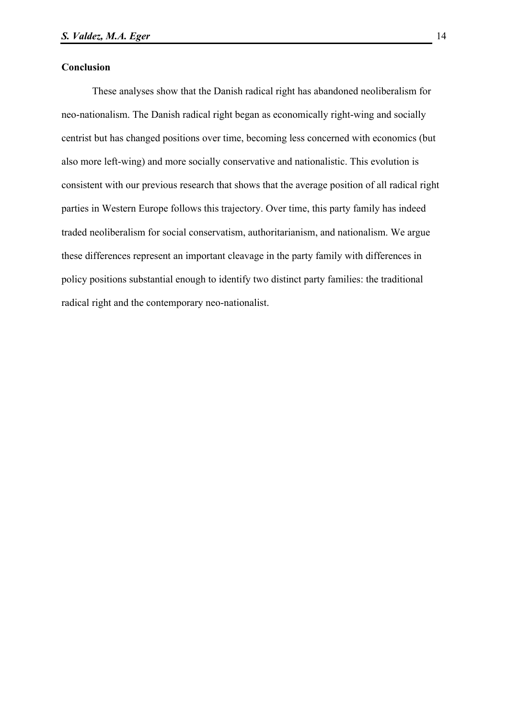# **Conclusion**

These analyses show that the Danish radical right has abandoned neoliberalism for neo-nationalism. The Danish radical right began as economically right-wing and socially centrist but has changed positions over time, becoming less concerned with economics (but also more left-wing) and more socially conservative and nationalistic. This evolution is consistent with our previous research that shows that the average position of all radical right parties in Western Europe follows this trajectory. Over time, this party family has indeed traded neoliberalism for social conservatism, authoritarianism, and nationalism. We argue these differences represent an important cleavage in the party family with differences in policy positions substantial enough to identify two distinct party families: the traditional radical right and the contemporary neo-nationalist.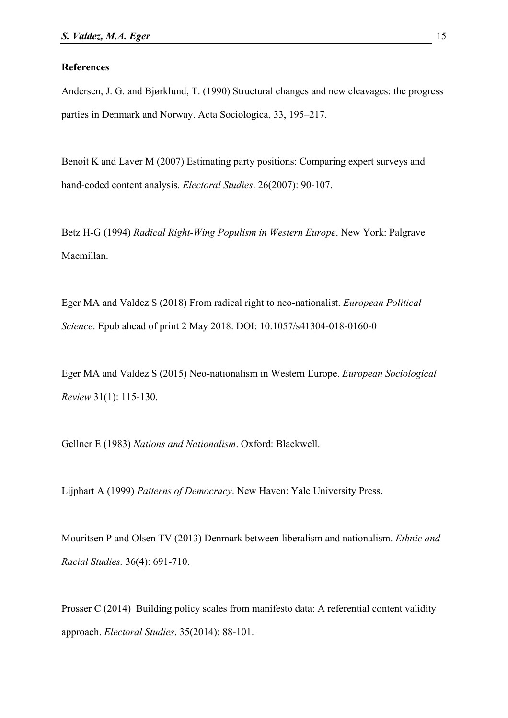#### **References**

Andersen, J. G. and Bjørklund, T. (1990) Structural changes and new cleavages: the progress parties in Denmark and Norway. Acta Sociologica, 33, 195–217.

Benoit K and Laver M (2007) Estimating party positions: Comparing expert surveys and hand-coded content analysis. *Electoral Studies*. 26(2007): 90-107.

Betz H-G (1994) *Radical Right-Wing Populism in Western Europe*. New York: Palgrave Macmillan.

Eger MA and Valdez S (2018) From radical right to neo-nationalist. *European Political Science*. Epub ahead of print 2 May 2018. DOI: 10.1057/s41304-018-0160-0

Eger MA and Valdez S (2015) Neo-nationalism in Western Europe. *European Sociological Review* 31(1): 115-130.

Gellner E (1983) *Nations and Nationalism*. Oxford: Blackwell.

Lijphart A (1999) *Patterns of Democracy*. New Haven: Yale University Press.

Mouritsen P and Olsen TV (2013) Denmark between liberalism and nationalism. *Ethnic and Racial Studies.* 36(4): 691-710.

Prosser C (2014) Building policy scales from manifesto data: A referential content validity approach. *Electoral Studies*. 35(2014): 88-101.